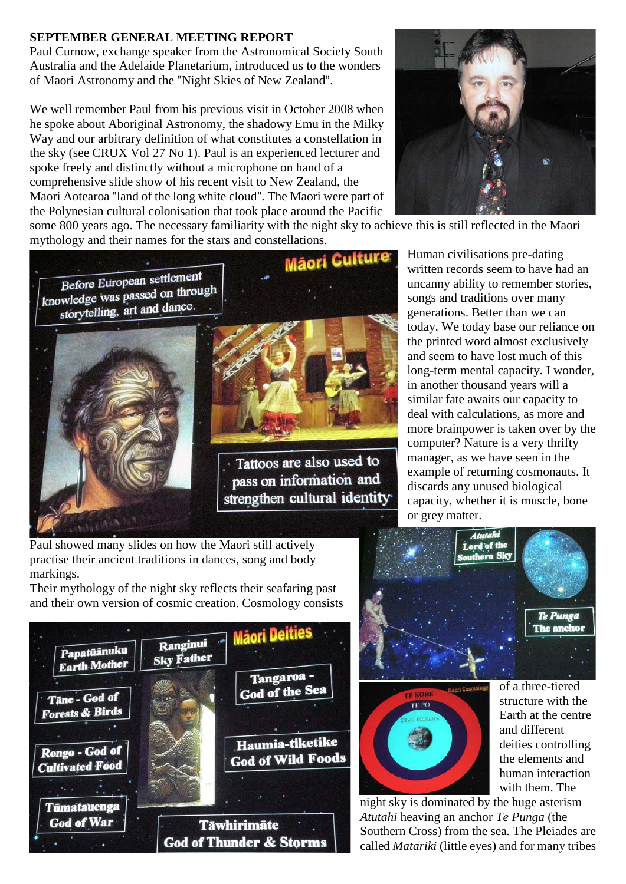## **SEPTEMBER GENERAL MEETING REPORT**

Paul Curnow, exchange speaker from the Astronomical Society South Australia and the Adelaide Planetarium, introduced us to the wonders of Maori Astronomy and the "Night Skies of New Zealand".

We well remember Paul from his previous visit in October 2008 when he spoke about Aboriginal Astronomy, the shadowy Emu in the Milky Way and our arbitrary definition of what constitutes a constellation in the sky (see CRUX Vol 27 No 1). Paul is an experienced lecturer and spoke freely and distinctly without a microphone on hand of a comprehensive slide show of his recent visit to New Zealand, the Maori Aotearoa "land of the long white cloud". The Maori were part of the Polynesian cultural colonisation that took place around the Pacific



some 800 years ago. The necessary familiarity with the night sky to achieve this is still reflected in the Maori



Human civilisations pre-dating written records seem to have had an uncanny ability to remember stories, songs and traditions over many generations. Better than we can today. We today base our reliance on the printed word almost exclusively and seem to have lost much of this long-term mental capacity. I wonder, in another thousand years will a similar fate awaits our capacity to deal with calculations, as more and more brainpower is taken over by the computer? Nature is a very thrifty manager, as we have seen in the example of returning cosmonauts. It discards any unused biological capacity, whether it is muscle, bone or grey matter.

Paul showed many slides on how the Maori still actively practise their ancient traditions in dances, song and body markings.

Their mythology of the night sky reflects their seafaring past and their own version of cosmic creation. Cosmology consists







of a three-tiered structure with the Earth at the centre and different deities controlling the elements and human interaction with them. The

night sky is dominated by the huge asterism *Atutahi* heaving an anchor *Te Punga* (the Southern Cross) from the sea. The Pleiades are called *Matariki* (little eyes) and for many tribes